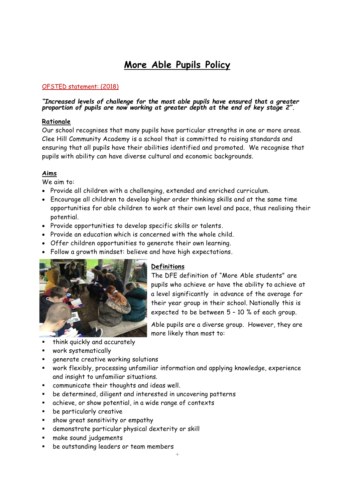# **More Able Pupils Policy**

## OFSTED statement: (2018)

#### *"Increased levels of challenge for the most able pupils have ensured that a greater proportion of pupils are now working at greater depth at the end of key stage 2".*

#### **Rationale**

Our school recognises that many pupils have particular strengths in one or more areas. Clee Hill Community Academy is a school that is committed to raising standards and ensuring that all pupils have their abilities identified and promoted. We recognise that pupils with ability can have diverse cultural and economic backgrounds.

### **Aims**

We aim to:

- Provide all children with a challenging, extended and enriched curriculum.
- Encourage all children to develop higher order thinking skills and at the same time opportunities for able children to work at their own level and pace, thus realising their potential.
- Provide opportunities to develop specific skills or talents.
- Provide an education which is concerned with the whole child.
- Offer children opportunities to generate their own learning.
- Follow a growth mindset: believe and have high expectations.



#### **Definitions**

The DFE definition of "More Able students" are pupils who achieve or have the ability to achieve at a level significantly in advance of the average for their year group in their school. Nationally this is expected to be between 5 – 10 % of each group.

Able pupils are a diverse group. However, they are more likely than most to:

- think quickly and accurately
- work systematically
- generate creative working solutions
- work flexibly, processing unfamiliar information and applying knowledge, experience and insight to unfamiliar situations.
- communicate their thoughts and ideas well.
- be determined, diligent and interested in uncovering patterns
- achieve, or show potential, in a wide range of contexts
- be particularly creative
- show great sensitivity or empathy
- demonstrate particular physical dexterity or skill
- make sound judgements
- be outstanding leaders or team members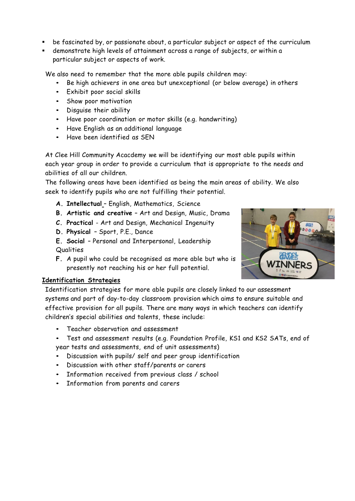- be fascinated by, or passionate about, a particular subject or aspect of the curriculum
- demonstrate high levels of attainment across a range of subjects, or within a particular subject or aspects of work.

We also need to remember that the more able pupils children may:

- Be high achievers in one area but unexceptional (or below average) in others
- Exhibit poor social skills
- Show poor motivation
- Disguise their ability
- Have poor coordination or motor skills (e.g. handwriting)
- Have English as an additional language
- Have been identified as SEN

At Clee Hill Community Acacdemy we will be identifying our most able pupils within each year group in order to provide a curriculum that is appropriate to the needs and abilities of all our children.

The following areas have been identified as being the main areas of ability. We also seek to identify pupils who are not fulfilling their potential.

- **A. Intellectual** English, Mathematics, Science
- **B. Artistic and creative** Art and Design, Music, Drama
- **C. Practical** Art and Design, Mechanical Ingenuity
- **D. Physical** Sport, P.E., Dance
- **E. Social** Personal and Interpersonal, Leadership Qualities
- **F.** A pupil who could be recognised as more able but who is presently not reaching his or her full potential.



### **Identification Strategies**

Identification strategies for more able pupils are closely linked to our assessment systems and part of day-to-day classroom provision which aims to ensure suitable and effective provision for all pupils. There are many ways in which teachers can identify children's special abilities and talents, these include:

- Teacher observation and assessment
- Test and assessment results (e.g. Foundation Profile, KS1 and KS2 SATs, end of year tests and assessments, end of unit assessments)
- Discussion with pupils/ self and peer group identification
- Discussion with other staff/parents or carers
- Information received from previous class / school
- Information from parents and carers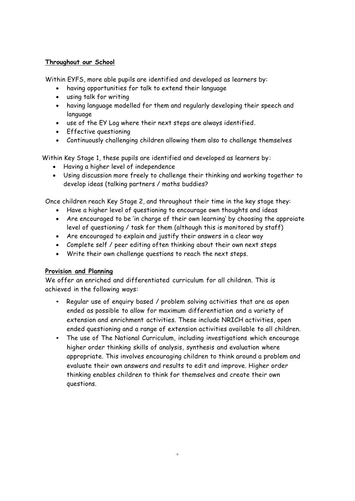#### **Throughout our School**

Within EYFS, more able pupils are identified and developed as learners by:

- having opportunities for talk to extend their language
- using talk for writing
- having language modelled for them and regularly developing their speech and language
- use of the EY Log where their next steps are always identified.
- Effective questioning
- Continuously challenging children allowing them also to challenge themselves

Within Key Stage 1, these pupils are identified and developed as learners by:

- Having a higher level of independence
- Using discussion more freely to challenge their thinking and working together to develop ideas (talking partners / maths buddies?

Once children reach Key Stage 2, and throughout their time in the key stage they:

- Have a higher level of questioning to encourage own thoughts and ideas
- Are encouraged to be 'in charge of their own learning' by choosing the approiate level of questioning / task for them (although this is monitored by staff)
- Are encouraged to explain and justify their answers in a clear way
- Complete self / peer editing often thinking about their own next steps
- Write their own challenge questions to reach the next steps.

### **Provision and Planning**

We offer an enriched and differentiated curriculum for all children. This is achieved in the following ways:

- Regular use of enquiry based / problem solving activities that are as open ended as possible to allow for maximum differentiation and a variety of extension and enrichment activities. These include NRICH activities, open ended questioning and a range of extension activities available to all children.
- The use of The National Curriculum, including investigations which encourage higher order thinking skills of analysis, synthesis and evaluation where appropriate. This involves encouraging children to think around a problem and evaluate their own answers and results to edit and improve. Higher order thinking enables children to think for themselves and create their own questions.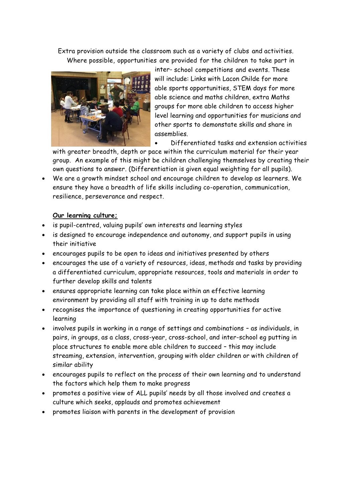Extra provision outside the classroom such as a variety of clubs and activities. Where possible, opportunities are provided for the children to take part in



inter- school competitions and events. These will include: Links with Lacon Childe for more able sports opportunities, STEM days for more able science and maths children, extra Maths groups for more able children to access higher level learning and opportunities for musicians and other sports to demonstate skills and share in assemblies.

• Differentiated tasks and extension activities

with greater breadth, depth or pace within the curriculum material for their year group. An example of this might be children challenging themselves by creating their own questions to answer. (Differentiation is given equal weighting for all pupils).

• We are a growth mindset school and encourage children to develop as learners. We ensure they have a breadth of life skills including co-operation, communication, resilience, perseverance and respect.

#### **Our learning culture;**

- is pupil-centred, valuing pupils' own interests and learning styles
- is designed to encourage independence and autonomy, and support pupils in using their initiative
- encourages pupils to be open to ideas and initiatives presented by others
- encourages the use of a variety of resources, ideas, methods and tasks by providing a differentiated curriculum, appropriate resources, tools and materials in order to further develop skills and talents
- ensures appropriate learning can take place within an effective learning environment by providing all staff with training in up to date methods
- recognises the importance of questioning in creating opportunities for active learning
- involves pupils in working in a range of settings and combinations as individuals, in pairs, in groups, as a class, cross-year, cross-school, and inter-school eg putting in place structures to enable more able children to succeed – this may include streaming, extension, intervention, grouping with older children or with children of similar ability
- encourages pupils to reflect on the process of their own learning and to understand the factors which help them to make progress
- promotes a positive view of ALL pupils' needs by all those involved and creates a culture which seeks, applauds and promotes achievement
- promotes liaison with parents in the development of provision